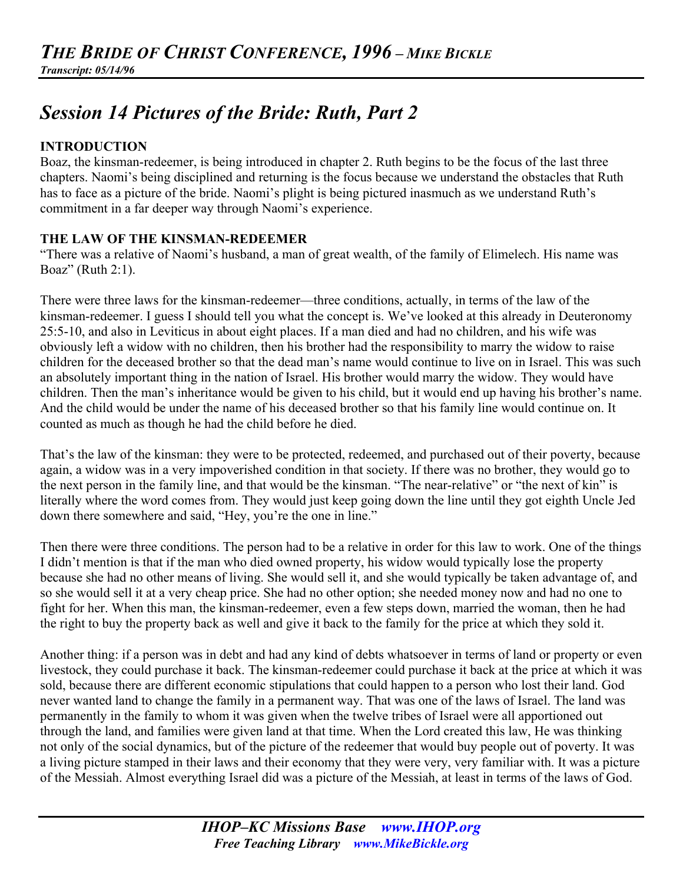# *Session 14 Pictures of the Bride: Ruth, Part 2*

# **INTRODUCTION**

Boaz, the kinsman-redeemer, is being introduced in chapter 2. Ruth begins to be the focus of the last three chapters. Naomi's being disciplined and returning is the focus because we understand the obstacles that Ruth has to face as a picture of the bride. Naomi's plight is being pictured inasmuch as we understand Ruth's commitment in a far deeper way through Naomi's experience.

# **THE LAW OF THE KINSMAN-REDEEMER**

"There was a relative of Naomi's husband, a man of great wealth, of the family of Elimelech. His name was Boaz" (Ruth 2:1).

There were three laws for the kinsman-redeemer—three conditions, actually, in terms of the law of the kinsman-redeemer. I guess I should tell you what the concept is. We've looked at this already in Deuteronomy 25:5-10, and also in Leviticus in about eight places. If a man died and had no children, and his wife was obviously left a widow with no children, then his brother had the responsibility to marry the widow to raise children for the deceased brother so that the dead man's name would continue to live on in Israel. This was such an absolutely important thing in the nation of Israel. His brother would marry the widow. They would have children. Then the man's inheritance would be given to his child, but it would end up having his brother's name. And the child would be under the name of his deceased brother so that his family line would continue on. It counted as much as though he had the child before he died.

That's the law of the kinsman: they were to be protected, redeemed, and purchased out of their poverty, because again, a widow was in a very impoverished condition in that society. If there was no brother, they would go to the next person in the family line, and that would be the kinsman. "The near-relative" or "the next of kin" is literally where the word comes from. They would just keep going down the line until they got eighth Uncle Jed down there somewhere and said, "Hey, you're the one in line."

Then there were three conditions. The person had to be a relative in order for this law to work. One of the things I didn't mention is that if the man who died owned property, his widow would typically lose the property because she had no other means of living. She would sell it, and she would typically be taken advantage of, and so she would sell it at a very cheap price. She had no other option; she needed money now and had no one to fight for her. When this man, the kinsman-redeemer, even a few steps down, married the woman, then he had the right to buy the property back as well and give it back to the family for the price at which they sold it.

Another thing: if a person was in debt and had any kind of debts whatsoever in terms of land or property or even livestock, they could purchase it back. The kinsman-redeemer could purchase it back at the price at which it was sold, because there are different economic stipulations that could happen to a person who lost their land. God never wanted land to change the family in a permanent way. That was one of the laws of Israel. The land was permanently in the family to whom it was given when the twelve tribes of Israel were all apportioned out through the land, and families were given land at that time. When the Lord created this law, He was thinking not only of the social dynamics, but of the picture of the redeemer that would buy people out of poverty. It was a living picture stamped in their laws and their economy that they were very, very familiar with. It was a picture of the Messiah. Almost everything Israel did was a picture of the Messiah, at least in terms of the laws of God.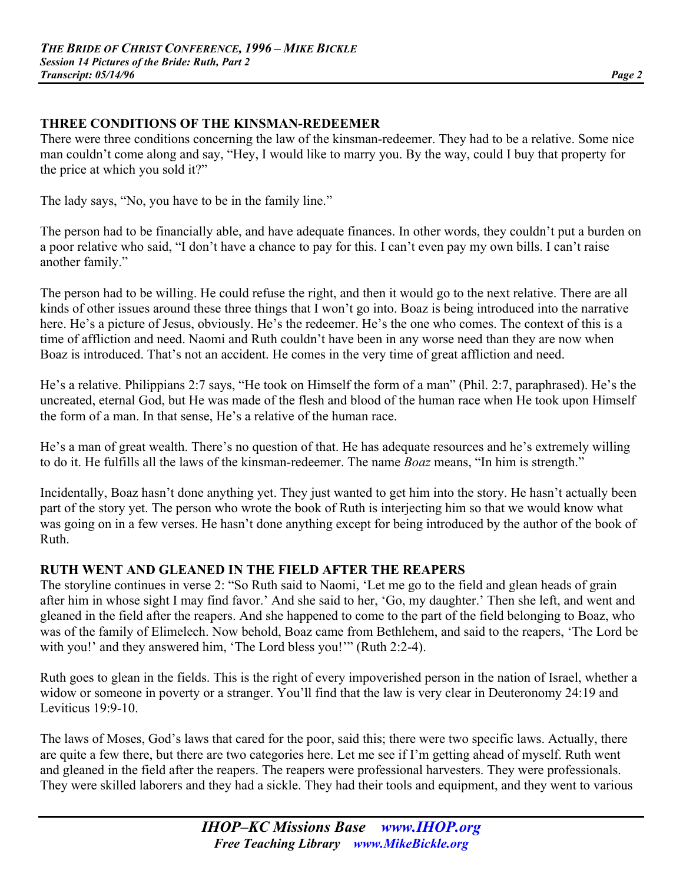## **THREE CONDITIONS OF THE KINSMAN-REDEEMER**

There were three conditions concerning the law of the kinsman-redeemer. They had to be a relative. Some nice man couldn't come along and say, "Hey, I would like to marry you. By the way, could I buy that property for the price at which you sold it?"

The lady says, "No, you have to be in the family line."

The person had to be financially able, and have adequate finances. In other words, they couldn't put a burden on a poor relative who said, "I don't have a chance to pay for this. I can't even pay my own bills. I can't raise another family."

The person had to be willing. He could refuse the right, and then it would go to the next relative. There are all kinds of other issues around these three things that I won't go into. Boaz is being introduced into the narrative here. He's a picture of Jesus, obviously. He's the redeemer. He's the one who comes. The context of this is a time of affliction and need. Naomi and Ruth couldn't have been in any worse need than they are now when Boaz is introduced. That's not an accident. He comes in the very time of great affliction and need.

He's a relative. Philippians 2:7 says, "He took on Himself the form of a man" (Phil. 2:7, paraphrased). He's the uncreated, eternal God, but He was made of the flesh and blood of the human race when He took upon Himself the form of a man. In that sense, He's a relative of the human race.

He's a man of great wealth. There's no question of that. He has adequate resources and he's extremely willing to do it. He fulfills all the laws of the kinsman-redeemer. The name *Boaz* means, "In him is strength."

Incidentally, Boaz hasn't done anything yet. They just wanted to get him into the story. He hasn't actually been part of the story yet. The person who wrote the book of Ruth is interjecting him so that we would know what was going on in a few verses. He hasn't done anything except for being introduced by the author of the book of Ruth.

# **RUTH WENT AND GLEANED IN THE FIELD AFTER THE REAPERS**

The storyline continues in verse 2: "So Ruth said to Naomi, 'Let me go to the field and glean heads of grain after him in whose sight I may find favor.' And she said to her, 'Go, my daughter.' Then she left, and went and gleaned in the field after the reapers. And she happened to come to the part of the field belonging to Boaz, who was of the family of Elimelech. Now behold, Boaz came from Bethlehem, and said to the reapers, 'The Lord be with you!' and they answered him, 'The Lord bless you!'" (Ruth 2:2-4).

Ruth goes to glean in the fields. This is the right of every impoverished person in the nation of Israel, whether a widow or someone in poverty or a stranger. You'll find that the law is very clear in Deuteronomy 24:19 and Leviticus 19:9-10.

The laws of Moses, God's laws that cared for the poor, said this; there were two specific laws. Actually, there are quite a few there, but there are two categories here. Let me see if I'm getting ahead of myself. Ruth went and gleaned in the field after the reapers. The reapers were professional harvesters. They were professionals. They were skilled laborers and they had a sickle. They had their tools and equipment, and they went to various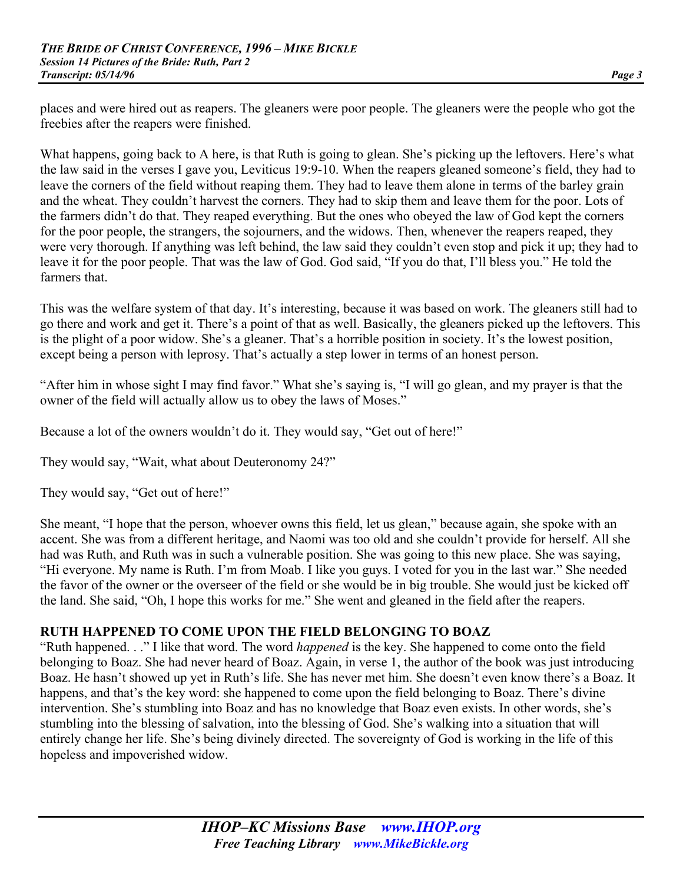places and were hired out as reapers. The gleaners were poor people. The gleaners were the people who got the freebies after the reapers were finished.

What happens, going back to A here, is that Ruth is going to glean. She's picking up the leftovers. Here's what the law said in the verses I gave you, Leviticus 19:9-10. When the reapers gleaned someone's field, they had to leave the corners of the field without reaping them. They had to leave them alone in terms of the barley grain and the wheat. They couldn't harvest the corners. They had to skip them and leave them for the poor. Lots of the farmers didn't do that. They reaped everything. But the ones who obeyed the law of God kept the corners for the poor people, the strangers, the sojourners, and the widows. Then, whenever the reapers reaped, they were very thorough. If anything was left behind, the law said they couldn't even stop and pick it up; they had to leave it for the poor people. That was the law of God. God said, "If you do that, I'll bless you." He told the farmers that.

This was the welfare system of that day. It's interesting, because it was based on work. The gleaners still had to go there and work and get it. There's a point of that as well. Basically, the gleaners picked up the leftovers. This is the plight of a poor widow. She's a gleaner. That's a horrible position in society. It's the lowest position, except being a person with leprosy. That's actually a step lower in terms of an honest person.

"After him in whose sight I may find favor." What she's saying is, "I will go glean, and my prayer is that the owner of the field will actually allow us to obey the laws of Moses."

Because a lot of the owners wouldn't do it. They would say, "Get out of here!"

They would say, "Wait, what about Deuteronomy 24?"

They would say, "Get out of here!"

She meant, "I hope that the person, whoever owns this field, let us glean," because again, she spoke with an accent. She was from a different heritage, and Naomi was too old and she couldn't provide for herself. All she had was Ruth, and Ruth was in such a vulnerable position. She was going to this new place. She was saying, "Hi everyone. My name is Ruth. I'm from Moab. I like you guys. I voted for you in the last war." She needed the favor of the owner or the overseer of the field or she would be in big trouble. She would just be kicked off the land. She said, "Oh, I hope this works for me." She went and gleaned in the field after the reapers.

## **RUTH HAPPENED TO COME UPON THE FIELD BELONGING TO BOAZ**

"Ruth happened. . ." I like that word. The word *happened* is the key. She happened to come onto the field belonging to Boaz. She had never heard of Boaz. Again, in verse 1, the author of the book was just introducing Boaz. He hasn't showed up yet in Ruth's life. She has never met him. She doesn't even know there's a Boaz. It happens, and that's the key word: she happened to come upon the field belonging to Boaz. There's divine intervention. She's stumbling into Boaz and has no knowledge that Boaz even exists. In other words, she's stumbling into the blessing of salvation, into the blessing of God. She's walking into a situation that will entirely change her life. She's being divinely directed. The sovereignty of God is working in the life of this hopeless and impoverished widow.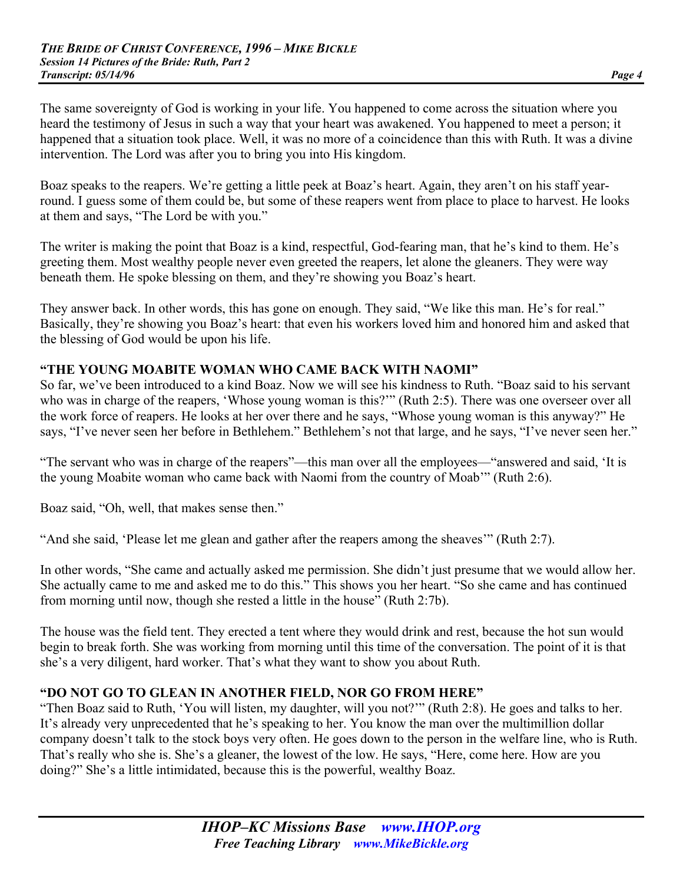The same sovereignty of God is working in your life. You happened to come across the situation where you heard the testimony of Jesus in such a way that your heart was awakened. You happened to meet a person; it happened that a situation took place. Well, it was no more of a coincidence than this with Ruth. It was a divine intervention. The Lord was after you to bring you into His kingdom.

Boaz speaks to the reapers. We're getting a little peek at Boaz's heart. Again, they aren't on his staff yearround. I guess some of them could be, but some of these reapers went from place to place to harvest. He looks at them and says, "The Lord be with you."

The writer is making the point that Boaz is a kind, respectful, God-fearing man, that he's kind to them. He's greeting them. Most wealthy people never even greeted the reapers, let alone the gleaners. They were way beneath them. He spoke blessing on them, and they're showing you Boaz's heart.

They answer back. In other words, this has gone on enough. They said, "We like this man. He's for real." Basically, they're showing you Boaz's heart: that even his workers loved him and honored him and asked that the blessing of God would be upon his life.

## **"THE YOUNG MOABITE WOMAN WHO CAME BACK WITH NAOMI"**

So far, we've been introduced to a kind Boaz. Now we will see his kindness to Ruth. "Boaz said to his servant who was in charge of the reapers, 'Whose young woman is this?'" (Ruth 2:5). There was one overseer over all the work force of reapers. He looks at her over there and he says, "Whose young woman is this anyway?" He says, "I've never seen her before in Bethlehem." Bethlehem's not that large, and he says, "I've never seen her."

"The servant who was in charge of the reapers"—this man over all the employees—"answered and said, 'It is the young Moabite woman who came back with Naomi from the country of Moab'" (Ruth 2:6).

Boaz said, "Oh, well, that makes sense then."

"And she said, 'Please let me glean and gather after the reapers among the sheaves'" (Ruth 2:7).

In other words, "She came and actually asked me permission. She didn't just presume that we would allow her. She actually came to me and asked me to do this." This shows you her heart. "So she came and has continued from morning until now, though she rested a little in the house" (Ruth 2:7b).

The house was the field tent. They erected a tent where they would drink and rest, because the hot sun would begin to break forth. She was working from morning until this time of the conversation. The point of it is that she's a very diligent, hard worker. That's what they want to show you about Ruth.

## **"DO NOT GO TO GLEAN IN ANOTHER FIELD, NOR GO FROM HERE"**

"Then Boaz said to Ruth, 'You will listen, my daughter, will you not?'" (Ruth 2:8). He goes and talks to her. It's already very unprecedented that he's speaking to her. You know the man over the multimillion dollar company doesn't talk to the stock boys very often. He goes down to the person in the welfare line, who is Ruth. That's really who she is. She's a gleaner, the lowest of the low. He says, "Here, come here. How are you doing?" She's a little intimidated, because this is the powerful, wealthy Boaz.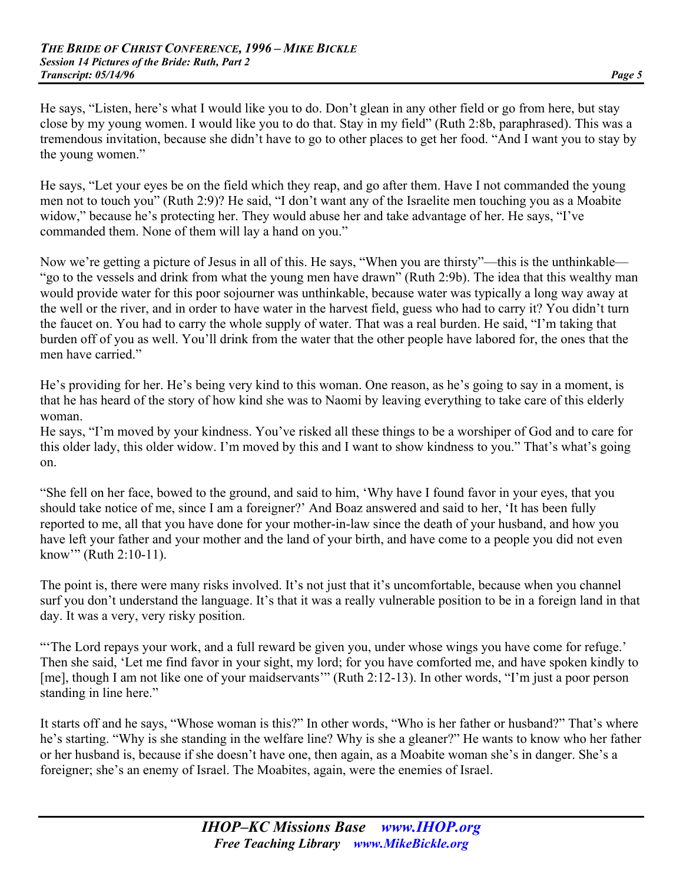He says, "Listen, here's what I would like you to do. Don't glean in any other field or go from here, but stay close by my young women. I would like you to do that. Stay in my field" (Ruth 2:8b, paraphrased). This was a tremendous invitation, because she didn't have to go to other places to get her food. "And I want you to stay by the young women."

He says, "Let your eyes be on the field which they reap, and go after them. Have I not commanded the young men not to touch you" (Ruth 2:9)? He said, "I don't want any of the Israelite men touching you as a Moabite widow," because he's protecting her. They would abuse her and take advantage of her. He says, "I've commanded them. None of them will lay a hand on you."

Now we're getting a picture of Jesus in all of this. He says, "When you are thirsty"—this is the unthinkable— "go to the vessels and drink from what the young men have drawn" (Ruth 2:9b). The idea that this wealthy man would provide water for this poor sojourner was unthinkable, because water was typically a long way away at the well or the river, and in order to have water in the harvest field, guess who had to carry it? You didn't turn the faucet on. You had to carry the whole supply of water. That was a real burden. He said, "I'm taking that burden off of you as well. You'll drink from the water that the other people have labored for, the ones that the men have carried."

He's providing for her. He's being very kind to this woman. One reason, as he's going to say in a moment, is that he has heard of the story of how kind she was to Naomi by leaving everything to take care of this elderly woman.

He says, "I'm moved by your kindness. You've risked all these things to be a worshiper of God and to care for this older lady, this older widow. I'm moved by this and I want to show kindness to you." That's what's going on.

"She fell on her face, bowed to the ground, and said to him, 'Why have I found favor in your eyes, that you should take notice of me, since I am a foreigner?' And Boaz answered and said to her, 'It has been fully reported to me, all that you have done for your mother-in-law since the death of your husband, and how you have left your father and your mother and the land of your birth, and have come to a people you did not even know'" (Ruth 2:10-11).

The point is, there were many risks involved. It's not just that it's uncomfortable, because when you channel surf you don't understand the language. It's that it was a really vulnerable position to be in a foreign land in that day. It was a very, very risky position.

"'The Lord repays your work, and a full reward be given you, under whose wings you have come for refuge.' Then she said, 'Let me find favor in your sight, my lord; for you have comforted me, and have spoken kindly to [me], though I am not like one of your maidservants" (Ruth 2:12-13). In other words, "I'm just a poor person standing in line here."

It starts off and he says, "Whose woman is this?" In other words, "Who is her father or husband?" That's where he's starting. "Why is she standing in the welfare line? Why is she a gleaner?" He wants to know who her father or her husband is, because if she doesn't have one, then again, as a Moabite woman she's in danger. She's a foreigner; she's an enemy of Israel. The Moabites, again, were the enemies of Israel.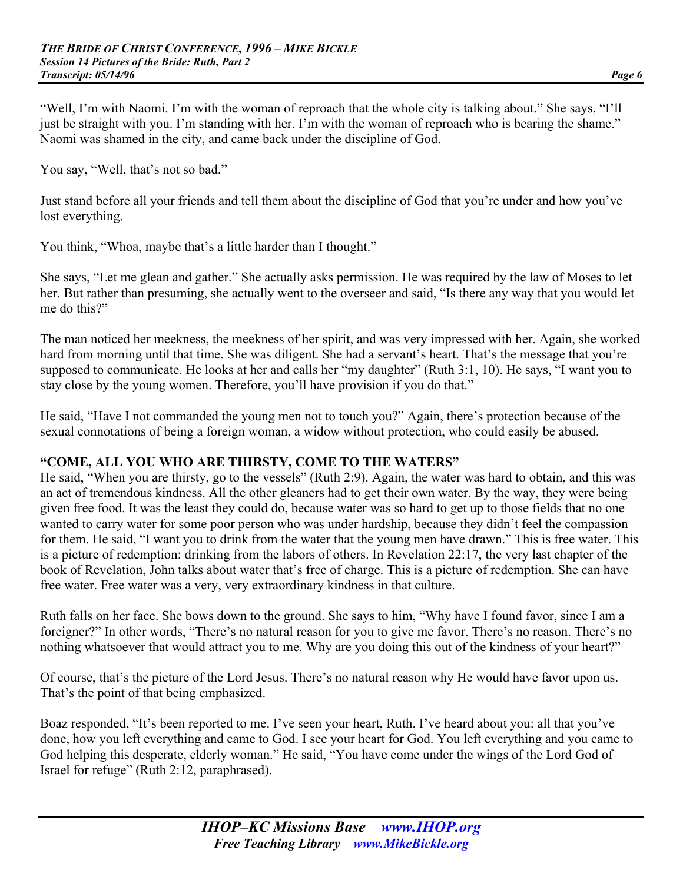"Well, I'm with Naomi. I'm with the woman of reproach that the whole city is talking about." She says, "I'll just be straight with you. I'm standing with her. I'm with the woman of reproach who is bearing the shame." Naomi was shamed in the city, and came back under the discipline of God.

You say, "Well, that's not so bad."

Just stand before all your friends and tell them about the discipline of God that you're under and how you've lost everything.

You think, "Whoa, maybe that's a little harder than I thought."

She says, "Let me glean and gather." She actually asks permission. He was required by the law of Moses to let her. But rather than presuming, she actually went to the overseer and said, "Is there any way that you would let me do this?"

The man noticed her meekness, the meekness of her spirit, and was very impressed with her. Again, she worked hard from morning until that time. She was diligent. She had a servant's heart. That's the message that you're supposed to communicate. He looks at her and calls her "my daughter" (Ruth 3:1, 10). He says, "I want you to stay close by the young women. Therefore, you'll have provision if you do that."

He said, "Have I not commanded the young men not to touch you?" Again, there's protection because of the sexual connotations of being a foreign woman, a widow without protection, who could easily be abused.

## **"COME, ALL YOU WHO ARE THIRSTY, COME TO THE WATERS"**

He said, "When you are thirsty, go to the vessels" (Ruth 2:9). Again, the water was hard to obtain, and this was an act of tremendous kindness. All the other gleaners had to get their own water. By the way, they were being given free food. It was the least they could do, because water was so hard to get up to those fields that no one wanted to carry water for some poor person who was under hardship, because they didn't feel the compassion for them. He said, "I want you to drink from the water that the young men have drawn." This is free water. This is a picture of redemption: drinking from the labors of others. In Revelation 22:17, the very last chapter of the book of Revelation, John talks about water that's free of charge. This is a picture of redemption. She can have free water. Free water was a very, very extraordinary kindness in that culture.

Ruth falls on her face. She bows down to the ground. She says to him, "Why have I found favor, since I am a foreigner?" In other words, "There's no natural reason for you to give me favor. There's no reason. There's no nothing whatsoever that would attract you to me. Why are you doing this out of the kindness of your heart?"

Of course, that's the picture of the Lord Jesus. There's no natural reason why He would have favor upon us. That's the point of that being emphasized.

Boaz responded, "It's been reported to me. I've seen your heart, Ruth. I've heard about you: all that you've done, how you left everything and came to God. I see your heart for God. You left everything and you came to God helping this desperate, elderly woman." He said, "You have come under the wings of the Lord God of Israel for refuge" (Ruth 2:12, paraphrased).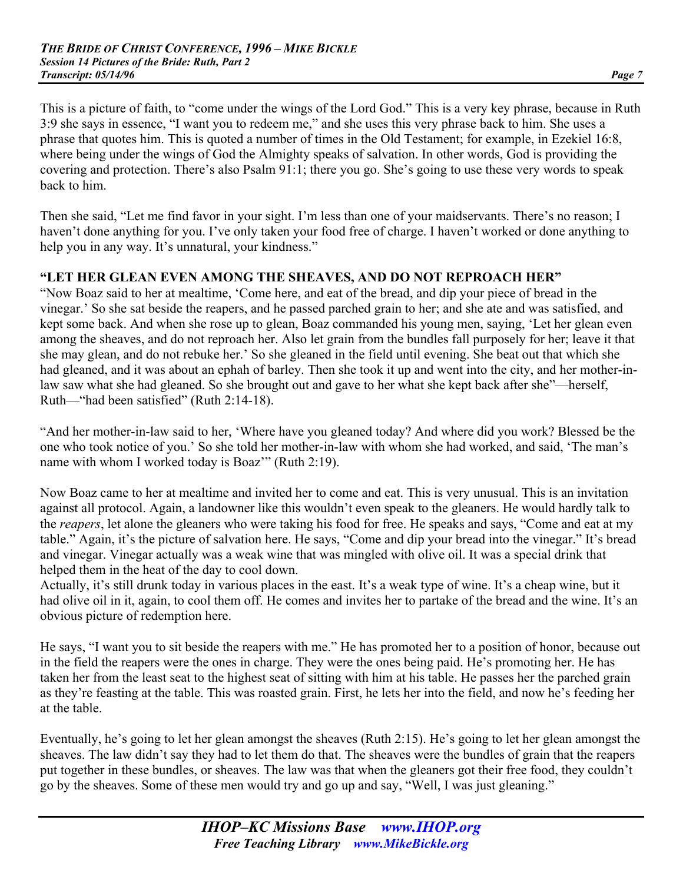This is a picture of faith, to "come under the wings of the Lord God." This is a very key phrase, because in Ruth 3:9 she says in essence, "I want you to redeem me," and she uses this very phrase back to him. She uses a phrase that quotes him. This is quoted a number of times in the Old Testament; for example, in Ezekiel 16:8, where being under the wings of God the Almighty speaks of salvation. In other words, God is providing the covering and protection. There's also Psalm 91:1; there you go. She's going to use these very words to speak back to him.

Then she said, "Let me find favor in your sight. I'm less than one of your maidservants. There's no reason; I haven't done anything for you. I've only taken your food free of charge. I haven't worked or done anything to help you in any way. It's unnatural, your kindness."

## **"LET HER GLEAN EVEN AMONG THE SHEAVES, AND DO NOT REPROACH HER"**

"Now Boaz said to her at mealtime, 'Come here, and eat of the bread, and dip your piece of bread in the vinegar.' So she sat beside the reapers, and he passed parched grain to her; and she ate and was satisfied, and kept some back. And when she rose up to glean, Boaz commanded his young men, saying, 'Let her glean even among the sheaves, and do not reproach her. Also let grain from the bundles fall purposely for her; leave it that she may glean, and do not rebuke her.' So she gleaned in the field until evening. She beat out that which she had gleaned, and it was about an ephah of barley. Then she took it up and went into the city, and her mother-inlaw saw what she had gleaned. So she brought out and gave to her what she kept back after she"—herself, Ruth—"had been satisfied" (Ruth 2:14-18).

"And her mother-in-law said to her, 'Where have you gleaned today? And where did you work? Blessed be the one who took notice of you.' So she told her mother-in-law with whom she had worked, and said, 'The man's name with whom I worked today is Boaz'" (Ruth 2:19).

Now Boaz came to her at mealtime and invited her to come and eat. This is very unusual. This is an invitation against all protocol. Again, a landowner like this wouldn't even speak to the gleaners. He would hardly talk to the *reapers*, let alone the gleaners who were taking his food for free. He speaks and says, "Come and eat at my table." Again, it's the picture of salvation here. He says, "Come and dip your bread into the vinegar." It's bread and vinegar. Vinegar actually was a weak wine that was mingled with olive oil. It was a special drink that helped them in the heat of the day to cool down.

Actually, it's still drunk today in various places in the east. It's a weak type of wine. It's a cheap wine, but it had olive oil in it, again, to cool them off. He comes and invites her to partake of the bread and the wine. It's an obvious picture of redemption here.

He says, "I want you to sit beside the reapers with me." He has promoted her to a position of honor, because out in the field the reapers were the ones in charge. They were the ones being paid. He's promoting her. He has taken her from the least seat to the highest seat of sitting with him at his table. He passes her the parched grain as they're feasting at the table. This was roasted grain. First, he lets her into the field, and now he's feeding her at the table.

Eventually, he's going to let her glean amongst the sheaves (Ruth 2:15). He's going to let her glean amongst the sheaves. The law didn't say they had to let them do that. The sheaves were the bundles of grain that the reapers put together in these bundles, or sheaves. The law was that when the gleaners got their free food, they couldn't go by the sheaves. Some of these men would try and go up and say, "Well, I was just gleaning."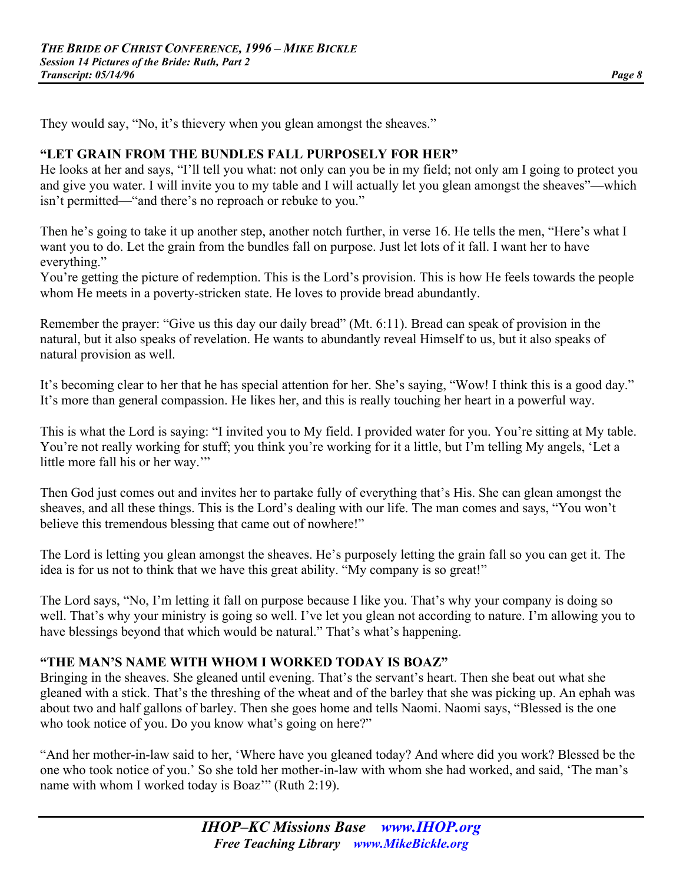They would say, "No, it's thievery when you glean amongst the sheaves."

## **"LET GRAIN FROM THE BUNDLES FALL PURPOSELY FOR HER"**

He looks at her and says, "I'll tell you what: not only can you be in my field; not only am I going to protect you and give you water. I will invite you to my table and I will actually let you glean amongst the sheaves"—which isn't permitted—"and there's no reproach or rebuke to you."

Then he's going to take it up another step, another notch further, in verse 16. He tells the men, "Here's what I want you to do. Let the grain from the bundles fall on purpose. Just let lots of it fall. I want her to have everything."

You're getting the picture of redemption. This is the Lord's provision. This is how He feels towards the people whom He meets in a poverty-stricken state. He loves to provide bread abundantly.

Remember the prayer: "Give us this day our daily bread" (Mt. 6:11). Bread can speak of provision in the natural, but it also speaks of revelation. He wants to abundantly reveal Himself to us, but it also speaks of natural provision as well.

It's becoming clear to her that he has special attention for her. She's saying, "Wow! I think this is a good day." It's more than general compassion. He likes her, and this is really touching her heart in a powerful way.

This is what the Lord is saying: "I invited you to My field. I provided water for you. You're sitting at My table. You're not really working for stuff; you think you're working for it a little, but I'm telling My angels, 'Let a little more fall his or her way.'"

Then God just comes out and invites her to partake fully of everything that's His. She can glean amongst the sheaves, and all these things. This is the Lord's dealing with our life. The man comes and says, "You won't believe this tremendous blessing that came out of nowhere!"

The Lord is letting you glean amongst the sheaves. He's purposely letting the grain fall so you can get it. The idea is for us not to think that we have this great ability. "My company is so great!"

The Lord says, "No, I'm letting it fall on purpose because I like you. That's why your company is doing so well. That's why your ministry is going so well. I've let you glean not according to nature. I'm allowing you to have blessings beyond that which would be natural." That's what's happening.

# **"THE MAN'S NAME WITH WHOM I WORKED TODAY IS BOAZ"**

Bringing in the sheaves. She gleaned until evening. That's the servant's heart. Then she beat out what she gleaned with a stick. That's the threshing of the wheat and of the barley that she was picking up. An ephah was about two and half gallons of barley. Then she goes home and tells Naomi. Naomi says, "Blessed is the one who took notice of you. Do you know what's going on here?"

"And her mother-in-law said to her, 'Where have you gleaned today? And where did you work? Blessed be the one who took notice of you.' So she told her mother-in-law with whom she had worked, and said, 'The man's name with whom I worked today is Boaz'" (Ruth 2:19).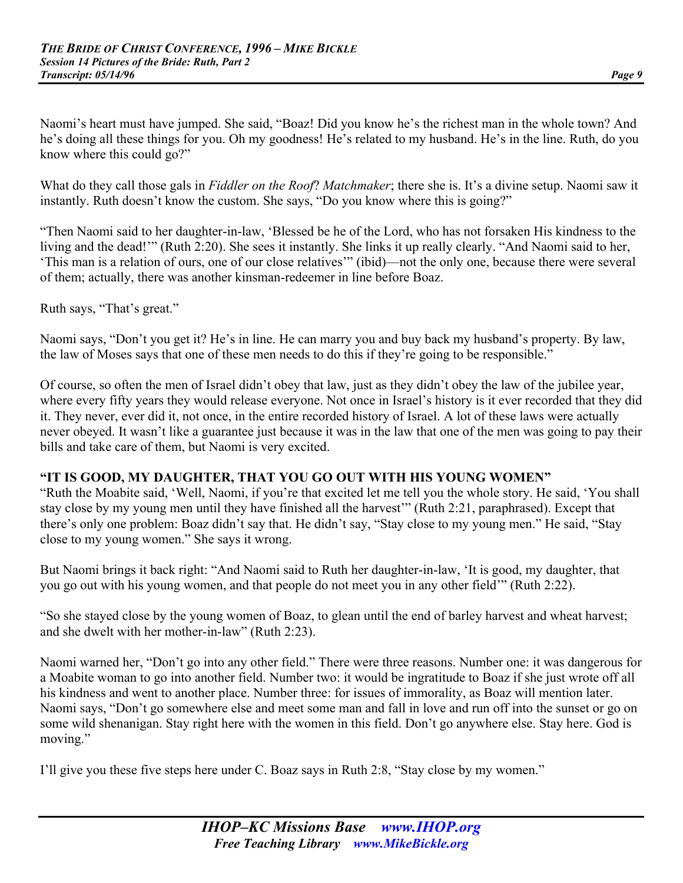Naomi's heart must have jumped. She said, "Boaz! Did you know he's the richest man in the whole town? And he's doing all these things for you. Oh my goodness! He's related to my husband. He's in the line. Ruth, do you know where this could go?"

What do they call those gals in *Fiddler on the Roof*? *Matchmaker*; there she is. It's a divine setup. Naomi saw it instantly. Ruth doesn't know the custom. She says, "Do you know where this is going?"

"Then Naomi said to her daughter-in-law, 'Blessed be he of the Lord, who has not forsaken His kindness to the living and the dead!" (Ruth 2:20). She sees it instantly. She links it up really clearly. "And Naomi said to her, 'This man is a relation of ours, one of our close relatives'" (ibid)—not the only one, because there were several of them; actually, there was another kinsman-redeemer in line before Boaz.

Ruth says, "That's great."

Naomi says, "Don't you get it? He's in line. He can marry you and buy back my husband's property. By law, the law of Moses says that one of these men needs to do this if they're going to be responsible."

Of course, so often the men of Israel didn't obey that law, just as they didn't obey the law of the jubilee year, where every fifty years they would release everyone. Not once in Israel's history is it ever recorded that they did it. They never, ever did it, not once, in the entire recorded history of Israel. A lot of these laws were actually never obeyed. It wasn't like a guarantee just because it was in the law that one of the men was going to pay their bills and take care of them, but Naomi is very excited.

## **"IT IS GOOD, MY DAUGHTER, THAT YOU GO OUT WITH HIS YOUNG WOMEN"**

"Ruth the Moabite said, 'Well, Naomi, if you're that excited let me tell you the whole story. He said, 'You shall stay close by my young men until they have finished all the harvest'" (Ruth 2:21, paraphrased). Except that there's only one problem: Boaz didn't say that. He didn't say, "Stay close to my young men." He said, "Stay close to my young women." She says it wrong.

But Naomi brings it back right: "And Naomi said to Ruth her daughter-in-law, 'It is good, my daughter, that you go out with his young women, and that people do not meet you in any other field'" (Ruth 2:22).

"So she stayed close by the young women of Boaz, to glean until the end of barley harvest and wheat harvest; and she dwelt with her mother-in-law" (Ruth 2:23).

Naomi warned her, "Don't go into any other field." There were three reasons. Number one: it was dangerous for a Moabite woman to go into another field. Number two: it would be ingratitude to Boaz if she just wrote off all his kindness and went to another place. Number three: for issues of immorality, as Boaz will mention later. Naomi says, "Don't go somewhere else and meet some man and fall in love and run off into the sunset or go on some wild shenanigan. Stay right here with the women in this field. Don't go anywhere else. Stay here. God is moving."

I'll give you these five steps here under C. Boaz says in Ruth 2:8, "Stay close by my women."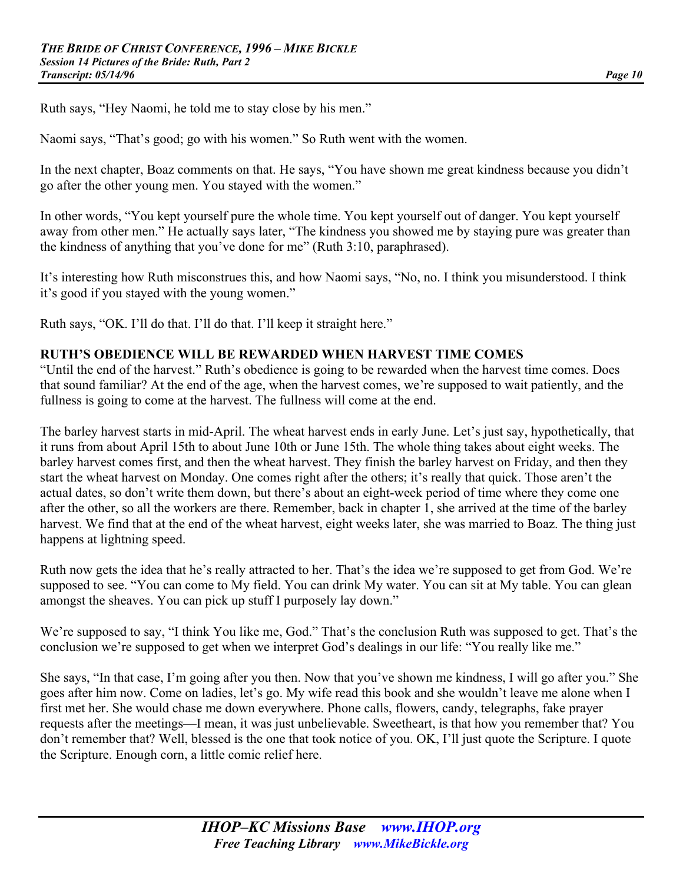Ruth says, "Hey Naomi, he told me to stay close by his men."

Naomi says, "That's good; go with his women." So Ruth went with the women.

In the next chapter, Boaz comments on that. He says, "You have shown me great kindness because you didn't go after the other young men. You stayed with the women."

In other words, "You kept yourself pure the whole time. You kept yourself out of danger. You kept yourself away from other men." He actually says later, "The kindness you showed me by staying pure was greater than the kindness of anything that you've done for me" (Ruth 3:10, paraphrased).

It's interesting how Ruth misconstrues this, and how Naomi says, "No, no. I think you misunderstood. I think it's good if you stayed with the young women."

Ruth says, "OK. I'll do that. I'll do that. I'll keep it straight here."

#### **RUTH'S OBEDIENCE WILL BE REWARDED WHEN HARVEST TIME COMES**

"Until the end of the harvest." Ruth's obedience is going to be rewarded when the harvest time comes. Does that sound familiar? At the end of the age, when the harvest comes, we're supposed to wait patiently, and the fullness is going to come at the harvest. The fullness will come at the end.

The barley harvest starts in mid-April. The wheat harvest ends in early June. Let's just say, hypothetically, that it runs from about April 15th to about June 10th or June 15th. The whole thing takes about eight weeks. The barley harvest comes first, and then the wheat harvest. They finish the barley harvest on Friday, and then they start the wheat harvest on Monday. One comes right after the others; it's really that quick. Those aren't the actual dates, so don't write them down, but there's about an eight-week period of time where they come one after the other, so all the workers are there. Remember, back in chapter 1, she arrived at the time of the barley harvest. We find that at the end of the wheat harvest, eight weeks later, she was married to Boaz. The thing just happens at lightning speed.

Ruth now gets the idea that he's really attracted to her. That's the idea we're supposed to get from God. We're supposed to see. "You can come to My field. You can drink My water. You can sit at My table. You can glean amongst the sheaves. You can pick up stuff I purposely lay down."

We're supposed to say, "I think You like me, God." That's the conclusion Ruth was supposed to get. That's the conclusion we're supposed to get when we interpret God's dealings in our life: "You really like me."

She says, "In that case, I'm going after you then. Now that you've shown me kindness, I will go after you." She goes after him now. Come on ladies, let's go. My wife read this book and she wouldn't leave me alone when I first met her. She would chase me down everywhere. Phone calls, flowers, candy, telegraphs, fake prayer requests after the meetings—I mean, it was just unbelievable. Sweetheart, is that how you remember that? You don't remember that? Well, blessed is the one that took notice of you. OK, I'll just quote the Scripture. I quote the Scripture. Enough corn, a little comic relief here.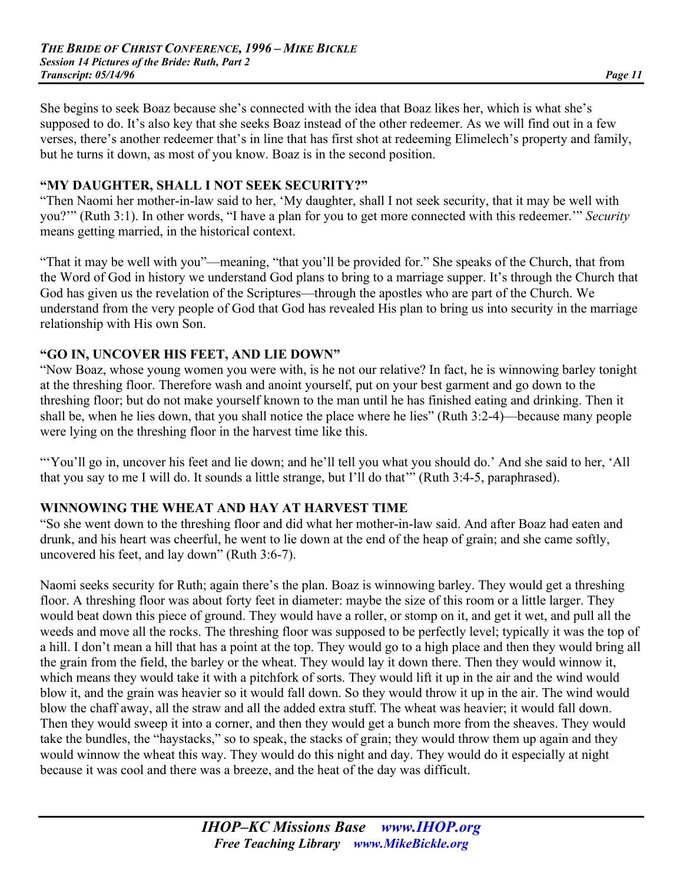She begins to seek Boaz because she's connected with the idea that Boaz likes her, which is what she's supposed to do. It's also key that she seeks Boaz instead of the other redeemer. As we will find out in a few verses, there's another redeemer that's in line that has first shot at redeeming Elimelech's property and family, but he turns it down, as most of you know. Boaz is in the second position.

## **"MY DAUGHTER, SHALL I NOT SEEK SECURITY?"**

"Then Naomi her mother-in-law said to her, 'My daughter, shall I not seek security, that it may be well with you?'" (Ruth 3:1). In other words, "I have a plan for you to get more connected with this redeemer.'" *Security* means getting married, in the historical context.

"That it may be well with you"—meaning, "that you'll be provided for." She speaks of the Church, that from the Word of God in history we understand God plans to bring to a marriage supper. It's through the Church that God has given us the revelation of the Scriptures—through the apostles who are part of the Church. We understand from the very people of God that God has revealed His plan to bring us into security in the marriage relationship with His own Son.

#### **"GO IN, UNCOVER HIS FEET, AND LIE DOWN"**

"Now Boaz, whose young women you were with, is he not our relative? In fact, he is winnowing barley tonight at the threshing floor. Therefore wash and anoint yourself, put on your best garment and go down to the threshing floor; but do not make yourself known to the man until he has finished eating and drinking. Then it shall be, when he lies down, that you shall notice the place where he lies" (Ruth 3:2-4)—because many people were lying on the threshing floor in the harvest time like this.

"'You'll go in, uncover his feet and lie down; and he'll tell you what you should do.' And she said to her, 'All that you say to me I will do. It sounds a little strange, but I'll do that'" (Ruth 3:4-5, paraphrased).

## **WINNOWING THE WHEAT AND HAY AT HARVEST TIME**

"So she went down to the threshing floor and did what her mother-in-law said. And after Boaz had eaten and drunk, and his heart was cheerful, he went to lie down at the end of the heap of grain; and she came softly, uncovered his feet, and lay down" (Ruth 3:6-7).

Naomi seeks security for Ruth; again there's the plan. Boaz is winnowing barley. They would get a threshing floor. A threshing floor was about forty feet in diameter: maybe the size of this room or a little larger. They would beat down this piece of ground. They would have a roller, or stomp on it, and get it wet, and pull all the weeds and move all the rocks. The threshing floor was supposed to be perfectly level; typically it was the top of a hill. I don't mean a hill that has a point at the top. They would go to a high place and then they would bring all the grain from the field, the barley or the wheat. They would lay it down there. Then they would winnow it, which means they would take it with a pitchfork of sorts. They would lift it up in the air and the wind would blow it, and the grain was heavier so it would fall down. So they would throw it up in the air. The wind would blow the chaff away, all the straw and all the added extra stuff. The wheat was heavier; it would fall down. Then they would sweep it into a corner, and then they would get a bunch more from the sheaves. They would take the bundles, the "haystacks," so to speak, the stacks of grain; they would throw them up again and they would winnow the wheat this way. They would do this night and day. They would do it especially at night because it was cool and there was a breeze, and the heat of the day was difficult.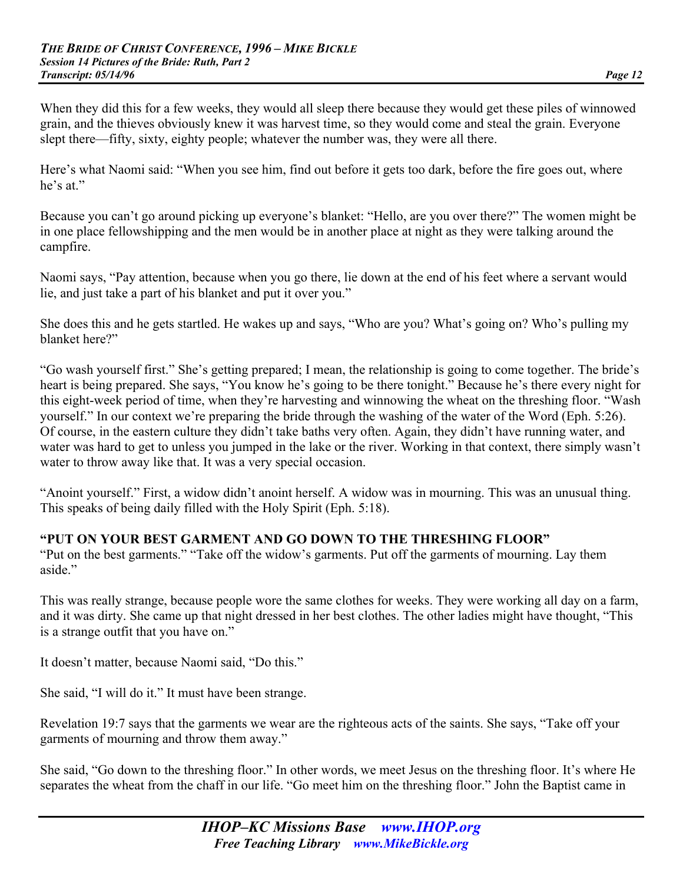When they did this for a few weeks, they would all sleep there because they would get these piles of winnowed grain, and the thieves obviously knew it was harvest time, so they would come and steal the grain. Everyone slept there—fifty, sixty, eighty people; whatever the number was, they were all there.

Here's what Naomi said: "When you see him, find out before it gets too dark, before the fire goes out, where he's at."

Because you can't go around picking up everyone's blanket: "Hello, are you over there?" The women might be in one place fellowshipping and the men would be in another place at night as they were talking around the campfire.

Naomi says, "Pay attention, because when you go there, lie down at the end of his feet where a servant would lie, and just take a part of his blanket and put it over you."

She does this and he gets startled. He wakes up and says, "Who are you? What's going on? Who's pulling my blanket here?"

"Go wash yourself first." She's getting prepared; I mean, the relationship is going to come together. The bride's heart is being prepared. She says, "You know he's going to be there tonight." Because he's there every night for this eight-week period of time, when they're harvesting and winnowing the wheat on the threshing floor. "Wash yourself." In our context we're preparing the bride through the washing of the water of the Word (Eph. 5:26). Of course, in the eastern culture they didn't take baths very often. Again, they didn't have running water, and water was hard to get to unless you jumped in the lake or the river. Working in that context, there simply wasn't water to throw away like that. It was a very special occasion.

"Anoint yourself." First, a widow didn't anoint herself. A widow was in mourning. This was an unusual thing. This speaks of being daily filled with the Holy Spirit (Eph. 5:18).

# **"PUT ON YOUR BEST GARMENT AND GO DOWN TO THE THRESHING FLOOR"**

"Put on the best garments." "Take off the widow's garments. Put off the garments of mourning. Lay them aside."

This was really strange, because people wore the same clothes for weeks. They were working all day on a farm, and it was dirty. She came up that night dressed in her best clothes. The other ladies might have thought, "This is a strange outfit that you have on."

It doesn't matter, because Naomi said, "Do this."

She said, "I will do it." It must have been strange.

Revelation 19:7 says that the garments we wear are the righteous acts of the saints. She says, "Take off your garments of mourning and throw them away."

She said, "Go down to the threshing floor." In other words, we meet Jesus on the threshing floor. It's where He separates the wheat from the chaff in our life. "Go meet him on the threshing floor." John the Baptist came in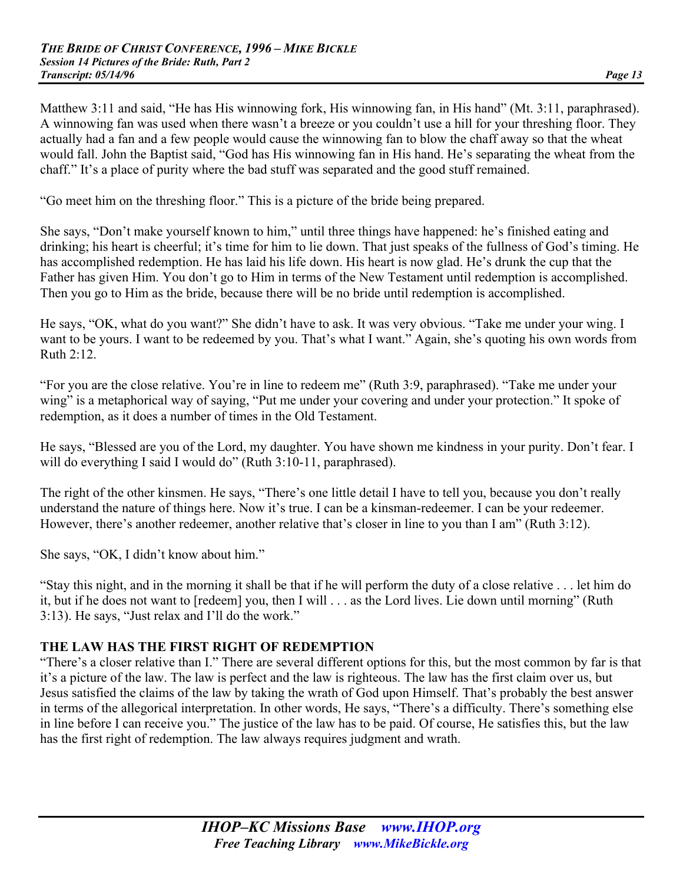Matthew 3:11 and said, "He has His winnowing fork, His winnowing fan, in His hand" (Mt. 3:11, paraphrased). A winnowing fan was used when there wasn't a breeze or you couldn't use a hill for your threshing floor. They actually had a fan and a few people would cause the winnowing fan to blow the chaff away so that the wheat would fall. John the Baptist said, "God has His winnowing fan in His hand. He's separating the wheat from the chaff." It's a place of purity where the bad stuff was separated and the good stuff remained.

"Go meet him on the threshing floor." This is a picture of the bride being prepared.

She says, "Don't make yourself known to him," until three things have happened: he's finished eating and drinking; his heart is cheerful; it's time for him to lie down. That just speaks of the fullness of God's timing. He has accomplished redemption. He has laid his life down. His heart is now glad. He's drunk the cup that the Father has given Him. You don't go to Him in terms of the New Testament until redemption is accomplished. Then you go to Him as the bride, because there will be no bride until redemption is accomplished.

He says, "OK, what do you want?" She didn't have to ask. It was very obvious. "Take me under your wing. I want to be yours. I want to be redeemed by you. That's what I want." Again, she's quoting his own words from Ruth 2:12.

"For you are the close relative. You're in line to redeem me" (Ruth 3:9, paraphrased). "Take me under your wing" is a metaphorical way of saying, "Put me under your covering and under your protection." It spoke of redemption, as it does a number of times in the Old Testament.

He says, "Blessed are you of the Lord, my daughter. You have shown me kindness in your purity. Don't fear. I will do everything I said I would do" (Ruth 3:10-11, paraphrased).

The right of the other kinsmen. He says, "There's one little detail I have to tell you, because you don't really understand the nature of things here. Now it's true. I can be a kinsman-redeemer. I can be your redeemer. However, there's another redeemer, another relative that's closer in line to you than I am" (Ruth 3:12).

She says, "OK, I didn't know about him."

"Stay this night, and in the morning it shall be that if he will perform the duty of a close relative . . . let him do it, but if he does not want to [redeem] you, then I will . . . as the Lord lives. Lie down until morning" (Ruth 3:13). He says, "Just relax and I'll do the work."

# **THE LAW HAS THE FIRST RIGHT OF REDEMPTION**

"There's a closer relative than I." There are several different options for this, but the most common by far is that it's a picture of the law. The law is perfect and the law is righteous. The law has the first claim over us, but Jesus satisfied the claims of the law by taking the wrath of God upon Himself. That's probably the best answer in terms of the allegorical interpretation. In other words, He says, "There's a difficulty. There's something else in line before I can receive you." The justice of the law has to be paid. Of course, He satisfies this, but the law has the first right of redemption. The law always requires judgment and wrath.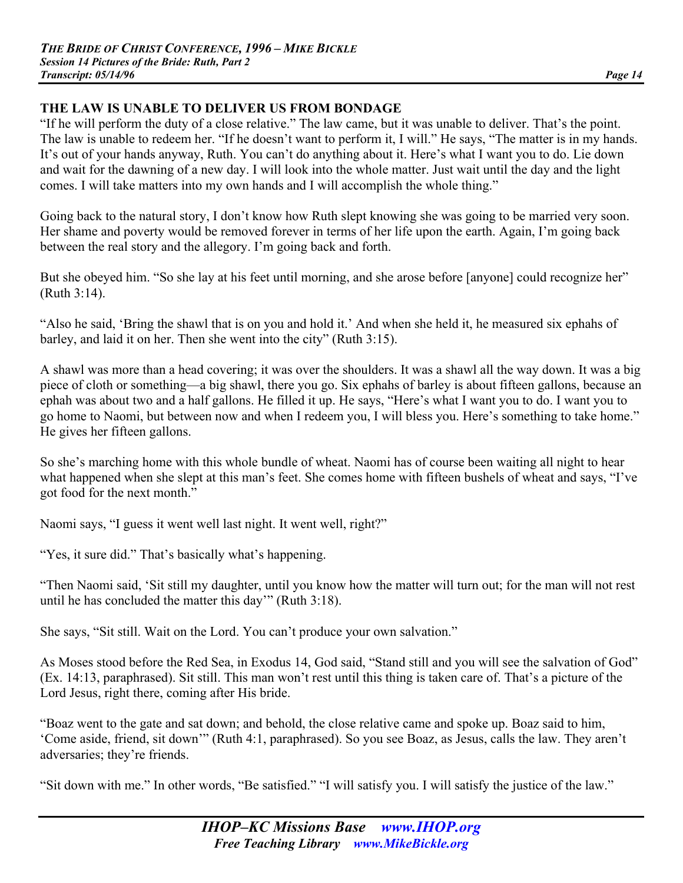## **THE LAW IS UNABLE TO DELIVER US FROM BONDAGE**

"If he will perform the duty of a close relative." The law came, but it was unable to deliver. That's the point. The law is unable to redeem her. "If he doesn't want to perform it, I will." He says, "The matter is in my hands. It's out of your hands anyway, Ruth. You can't do anything about it. Here's what I want you to do. Lie down and wait for the dawning of a new day. I will look into the whole matter. Just wait until the day and the light comes. I will take matters into my own hands and I will accomplish the whole thing."

Going back to the natural story, I don't know how Ruth slept knowing she was going to be married very soon. Her shame and poverty would be removed forever in terms of her life upon the earth. Again, I'm going back between the real story and the allegory. I'm going back and forth.

But she obeyed him. "So she lay at his feet until morning, and she arose before [anyone] could recognize her" (Ruth 3:14).

"Also he said, 'Bring the shawl that is on you and hold it.' And when she held it, he measured six ephahs of barley, and laid it on her. Then she went into the city" (Ruth 3:15).

A shawl was more than a head covering; it was over the shoulders. It was a shawl all the way down. It was a big piece of cloth or something—a big shawl, there you go. Six ephahs of barley is about fifteen gallons, because an ephah was about two and a half gallons. He filled it up. He says, "Here's what I want you to do. I want you to go home to Naomi, but between now and when I redeem you, I will bless you. Here's something to take home." He gives her fifteen gallons.

So she's marching home with this whole bundle of wheat. Naomi has of course been waiting all night to hear what happened when she slept at this man's feet. She comes home with fifteen bushels of wheat and says, "I've got food for the next month."

Naomi says, "I guess it went well last night. It went well, right?"

"Yes, it sure did." That's basically what's happening.

"Then Naomi said, 'Sit still my daughter, until you know how the matter will turn out; for the man will not rest until he has concluded the matter this day'" (Ruth 3:18).

She says, "Sit still. Wait on the Lord. You can't produce your own salvation."

As Moses stood before the Red Sea, in Exodus 14, God said, "Stand still and you will see the salvation of God" (Ex. 14:13, paraphrased). Sit still. This man won't rest until this thing is taken care of. That's a picture of the Lord Jesus, right there, coming after His bride.

"Boaz went to the gate and sat down; and behold, the close relative came and spoke up. Boaz said to him, 'Come aside, friend, sit down'" (Ruth 4:1, paraphrased). So you see Boaz, as Jesus, calls the law. They aren't adversaries; they're friends.

"Sit down with me." In other words, "Be satisfied." "I will satisfy you. I will satisfy the justice of the law."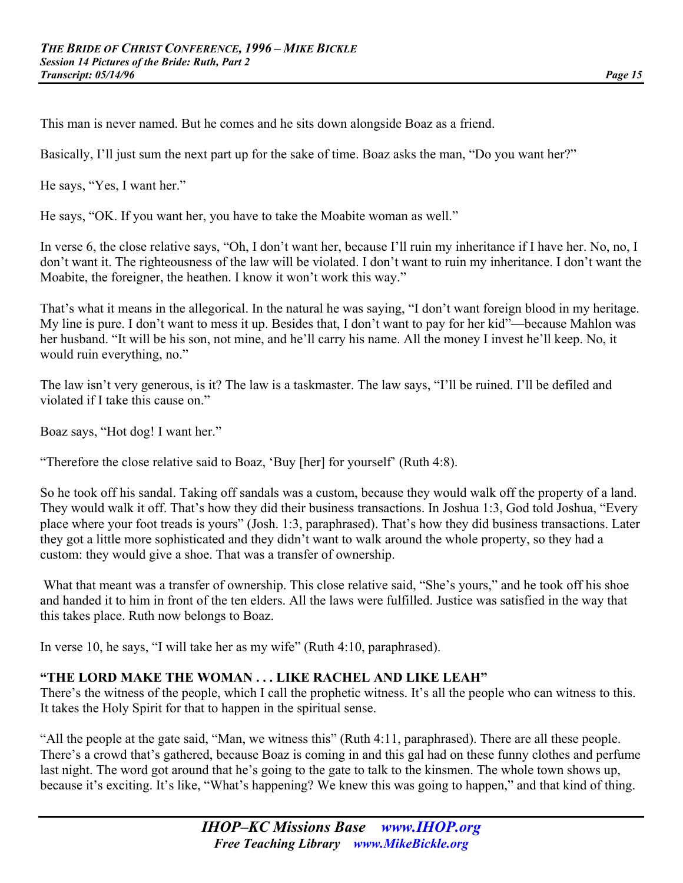This man is never named. But he comes and he sits down alongside Boaz as a friend.

Basically, I'll just sum the next part up for the sake of time. Boaz asks the man, "Do you want her?"

He says, "Yes, I want her."

He says, "OK. If you want her, you have to take the Moabite woman as well."

In verse 6, the close relative says, "Oh, I don't want her, because I'll ruin my inheritance if I have her. No, no, I don't want it. The righteousness of the law will be violated. I don't want to ruin my inheritance. I don't want the Moabite, the foreigner, the heathen. I know it won't work this way."

That's what it means in the allegorical. In the natural he was saying, "I don't want foreign blood in my heritage. My line is pure. I don't want to mess it up. Besides that, I don't want to pay for her kid"—because Mahlon was her husband. "It will be his son, not mine, and he'll carry his name. All the money I invest he'll keep. No, it would ruin everything, no."

The law isn't very generous, is it? The law is a taskmaster. The law says, "I'll be ruined. I'll be defiled and violated if I take this cause on."

Boaz says, "Hot dog! I want her."

"Therefore the close relative said to Boaz, 'Buy [her] for yourself' (Ruth 4:8).

So he took off his sandal. Taking off sandals was a custom, because they would walk off the property of a land. They would walk it off. That's how they did their business transactions. In Joshua 1:3, God told Joshua, "Every place where your foot treads is yours" (Josh. 1:3, paraphrased). That's how they did business transactions. Later they got a little more sophisticated and they didn't want to walk around the whole property, so they had a custom: they would give a shoe. That was a transfer of ownership.

 What that meant was a transfer of ownership. This close relative said, "She's yours," and he took off his shoe and handed it to him in front of the ten elders. All the laws were fulfilled. Justice was satisfied in the way that this takes place. Ruth now belongs to Boaz.

In verse 10, he says, "I will take her as my wife" (Ruth 4:10, paraphrased).

## **"THE LORD MAKE THE WOMAN . . . LIKE RACHEL AND LIKE LEAH"**

There's the witness of the people, which I call the prophetic witness. It's all the people who can witness to this. It takes the Holy Spirit for that to happen in the spiritual sense.

"All the people at the gate said, "Man, we witness this" (Ruth 4:11, paraphrased). There are all these people. There's a crowd that's gathered, because Boaz is coming in and this gal had on these funny clothes and perfume last night. The word got around that he's going to the gate to talk to the kinsmen. The whole town shows up, because it's exciting. It's like, "What's happening? We knew this was going to happen," and that kind of thing.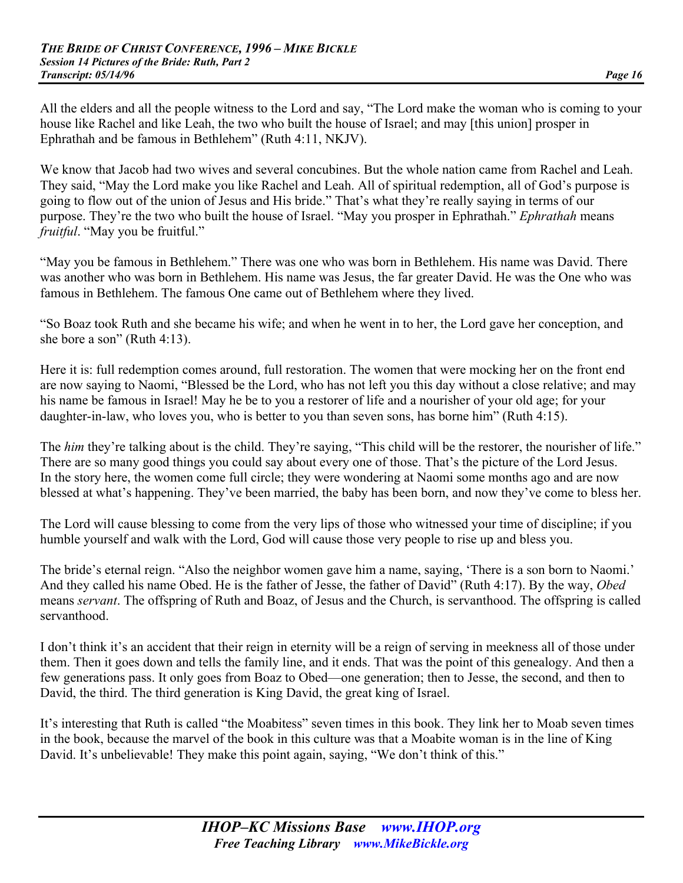All the elders and all the people witness to the Lord and say, "The Lord make the woman who is coming to your house like Rachel and like Leah, the two who built the house of Israel; and may [this union] prosper in Ephrathah and be famous in Bethlehem" (Ruth 4:11, NKJV).

We know that Jacob had two wives and several concubines. But the whole nation came from Rachel and Leah. They said, "May the Lord make you like Rachel and Leah. All of spiritual redemption, all of God's purpose is going to flow out of the union of Jesus and His bride." That's what they're really saying in terms of our purpose. They're the two who built the house of Israel. "May you prosper in Ephrathah." *Ephrathah* means *fruitful*. "May you be fruitful."

"May you be famous in Bethlehem." There was one who was born in Bethlehem. His name was David. There was another who was born in Bethlehem. His name was Jesus, the far greater David. He was the One who was famous in Bethlehem. The famous One came out of Bethlehem where they lived.

"So Boaz took Ruth and she became his wife; and when he went in to her, the Lord gave her conception, and she bore a son" (Ruth 4:13).

Here it is: full redemption comes around, full restoration. The women that were mocking her on the front end are now saying to Naomi, "Blessed be the Lord, who has not left you this day without a close relative; and may his name be famous in Israel! May he be to you a restorer of life and a nourisher of your old age; for your daughter-in-law, who loves you, who is better to you than seven sons, has borne him" (Ruth 4:15).

The *him* they're talking about is the child. They're saying, "This child will be the restorer, the nourisher of life." There are so many good things you could say about every one of those. That's the picture of the Lord Jesus. In the story here, the women come full circle; they were wondering at Naomi some months ago and are now blessed at what's happening. They've been married, the baby has been born, and now they've come to bless her.

The Lord will cause blessing to come from the very lips of those who witnessed your time of discipline; if you humble yourself and walk with the Lord, God will cause those very people to rise up and bless you.

The bride's eternal reign. "Also the neighbor women gave him a name, saying, 'There is a son born to Naomi.' And they called his name Obed. He is the father of Jesse, the father of David" (Ruth 4:17). By the way, *Obed*  means *servant*. The offspring of Ruth and Boaz, of Jesus and the Church, is servanthood. The offspring is called servanthood.

I don't think it's an accident that their reign in eternity will be a reign of serving in meekness all of those under them. Then it goes down and tells the family line, and it ends. That was the point of this genealogy. And then a few generations pass. It only goes from Boaz to Obed—one generation; then to Jesse, the second, and then to David, the third. The third generation is King David, the great king of Israel.

It's interesting that Ruth is called "the Moabitess" seven times in this book. They link her to Moab seven times in the book, because the marvel of the book in this culture was that a Moabite woman is in the line of King David. It's unbelievable! They make this point again, saying, "We don't think of this."